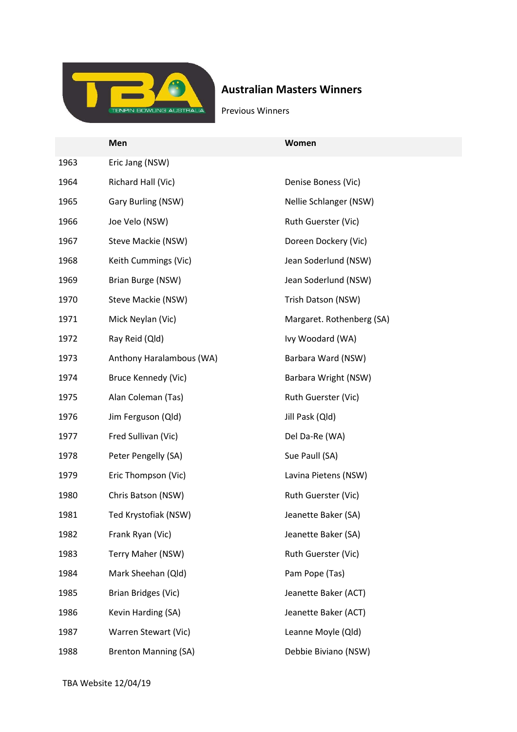

# Australian Masters Winners

Previous Winners

|      | Men                         | Women                     |
|------|-----------------------------|---------------------------|
| 1963 | Eric Jang (NSW)             |                           |
| 1964 | Richard Hall (Vic)          | Denise Boness (Vic)       |
| 1965 | Gary Burling (NSW)          | Nellie Schlanger (NSW)    |
| 1966 | Joe Velo (NSW)              | Ruth Guerster (Vic)       |
| 1967 | Steve Mackie (NSW)          | Doreen Dockery (Vic)      |
| 1968 | Keith Cummings (Vic)        | Jean Soderlund (NSW)      |
| 1969 | Brian Burge (NSW)           | Jean Soderlund (NSW)      |
| 1970 | Steve Mackie (NSW)          | Trish Datson (NSW)        |
| 1971 | Mick Neylan (Vic)           | Margaret. Rothenberg (SA) |
| 1972 | Ray Reid (Qld)              | Ivy Woodard (WA)          |
| 1973 | Anthony Haralambous (WA)    | Barbara Ward (NSW)        |
| 1974 | Bruce Kennedy (Vic)         | Barbara Wright (NSW)      |
| 1975 | Alan Coleman (Tas)          | Ruth Guerster (Vic)       |
| 1976 | Jim Ferguson (Qld)          | Jill Pask (Qld)           |
| 1977 | Fred Sullivan (Vic)         | Del Da-Re (WA)            |
| 1978 | Peter Pengelly (SA)         | Sue Paull (SA)            |
| 1979 | Eric Thompson (Vic)         | Lavina Pietens (NSW)      |
| 1980 | Chris Batson (NSW)          | Ruth Guerster (Vic)       |
| 1981 | Ted Krystofiak (NSW)        | Jeanette Baker (SA)       |
| 1982 | Frank Ryan (Vic)            | Jeanette Baker (SA)       |
| 1983 | Terry Maher (NSW)           | Ruth Guerster (Vic)       |
| 1984 | Mark Sheehan (Qld)          | Pam Pope (Tas)            |
| 1985 | Brian Bridges (Vic)         | Jeanette Baker (ACT)      |
| 1986 | Kevin Harding (SA)          | Jeanette Baker (ACT)      |
| 1987 | Warren Stewart (Vic)        | Leanne Moyle (Qld)        |
| 1988 | <b>Brenton Manning (SA)</b> | Debbie Biviano (NSW)      |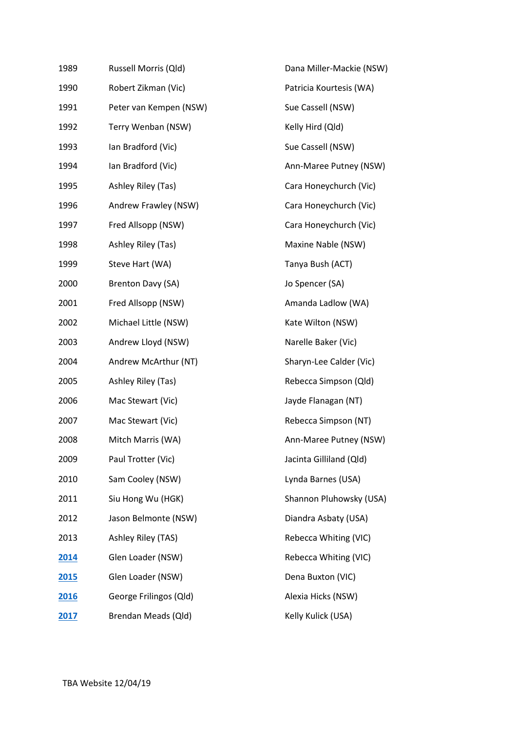| 1989 | Russell Morris (Qld)   | Dana Miller-Mackie (NSW) |
|------|------------------------|--------------------------|
| 1990 | Robert Zikman (Vic)    | Patricia Kourtesis (WA)  |
| 1991 | Peter van Kempen (NSW) | Sue Cassell (NSW)        |
| 1992 | Terry Wenban (NSW)     | Kelly Hird (Qld)         |
| 1993 | Ian Bradford (Vic)     | Sue Cassell (NSW)        |
| 1994 | Ian Bradford (Vic)     | Ann-Maree Putney (NSW)   |
| 1995 | Ashley Riley (Tas)     | Cara Honeychurch (Vic)   |
| 1996 | Andrew Frawley (NSW)   | Cara Honeychurch (Vic)   |
| 1997 | Fred Allsopp (NSW)     | Cara Honeychurch (Vic)   |
| 1998 | Ashley Riley (Tas)     | Maxine Nable (NSW)       |
| 1999 | Steve Hart (WA)        | Tanya Bush (ACT)         |
| 2000 | Brenton Davy (SA)      | Jo Spencer (SA)          |
| 2001 | Fred Allsopp (NSW)     | Amanda Ladlow (WA)       |
| 2002 | Michael Little (NSW)   | Kate Wilton (NSW)        |
| 2003 | Andrew Lloyd (NSW)     | Narelle Baker (Vic)      |
| 2004 | Andrew McArthur (NT)   | Sharyn-Lee Calder (Vic)  |
| 2005 | Ashley Riley (Tas)     | Rebecca Simpson (Qld)    |
| 2006 | Mac Stewart (Vic)      | Jayde Flanagan (NT)      |
| 2007 | Mac Stewart (Vic)      | Rebecca Simpson (NT)     |
| 2008 | Mitch Marris (WA)      | Ann-Maree Putney (NSW)   |
| 2009 | Paul Trotter (Vic)     | Jacinta Gilliland (Qld)  |
| 2010 | Sam Cooley (NSW)       | Lynda Barnes (USA)       |
| 2011 | Siu Hong Wu (HGK)      | Shannon Pluhowsky (USA)  |
| 2012 | Jason Belmonte (NSW)   | Diandra Asbaty (USA)     |
| 2013 | Ashley Riley (TAS)     | Rebecca Whiting (VIC)    |
| 2014 | Glen Loader (NSW)      | Rebecca Whiting (VIC)    |
| 2015 | Glen Loader (NSW)      | Dena Buxton (VIC)        |
| 2016 | George Frilingos (Qld) | Alexia Hicks (NSW)       |
| 2017 | Brendan Meads (Qld)    | Kelly Kulick (USA)       |